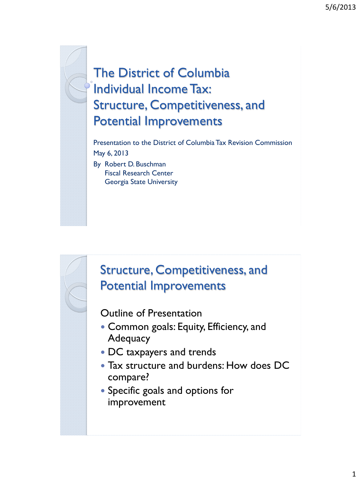## The District of Columbia Individual Income Tax: Structure, Competitiveness, and Potential Improvements

Presentation to the District of Columbia Tax Revision Commission May 6, 2013 By Robert D. Buschman Fiscal Research Center Georgia State University

#### Structure, Competitiveness, and Potential Improvements

Outline of Presentation

- Common goals: Equity, Efficiency, and **Adequacy**
- DC taxpayers and trends
- Tax structure and burdens: How does DC compare?
- Specific goals and options for improvement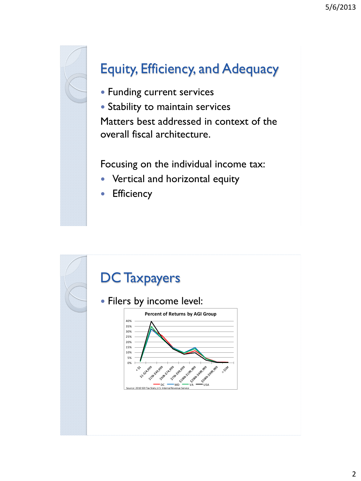

# Equity, Efficiency, and Adequacy

• Funding current services

• Stability to maintain services Matters best addressed in context of the overall fiscal architecture.

Focusing on the individual income tax:

- Vertical and horizontal equity
- **•** Efficiency

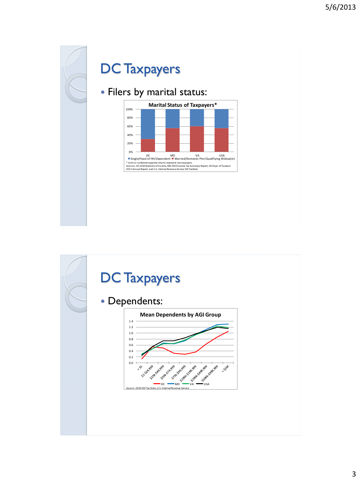

#### DC Taxpayers

#### Filers by marital status:



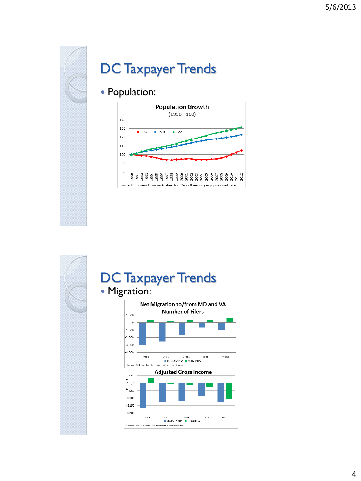

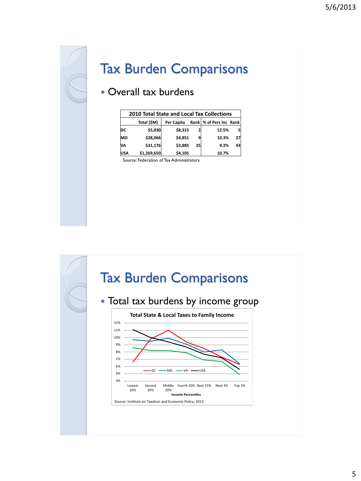

### Tax Burden Comparisons

#### Overall tax burdens

|            | <b>2010 Total State and Local Tax Collections</b> |            |    |                           |    |  |  |  |  |  |  |
|------------|---------------------------------------------------|------------|----|---------------------------|----|--|--|--|--|--|--|
|            | Total (\$M)                                       | Per Capita |    | Rank   % of Pers Inc Rank |    |  |  |  |  |  |  |
| DC         | \$5,030                                           | \$8,315    |    | 12.5%                     | 5  |  |  |  |  |  |  |
| <b>MD</b>  | \$28,066                                          | \$4,851    |    | 10.3%                     | 27 |  |  |  |  |  |  |
| <b>VA</b>  | \$31,176                                          | \$3,885    | 25 | 9.2%                      | 43 |  |  |  |  |  |  |
| <b>USA</b> | \$1,269,650                                       | \$4,105    |    | 10.7%                     |    |  |  |  |  |  |  |

Source: Federation of Tax Administrators

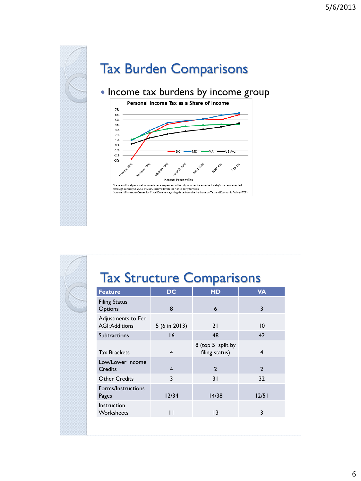

| <b>Tax Structure Comparisons</b> |  |  |  |  |
|----------------------------------|--|--|--|--|
|----------------------------------|--|--|--|--|

| <b>Feature</b>                              | <b>DC</b>    | <b>MD</b>                           | <b>VA</b>    |
|---------------------------------------------|--------------|-------------------------------------|--------------|
| <b>Filing Status</b><br>Options             | 8            | $\boldsymbol{6}$                    | 3            |
| Adjustments to Fed<br><b>AGI: Additions</b> | 5(6 in 2013) | 21                                  | 10           |
| <b>Subtractions</b>                         | 16           | 48                                  | 42           |
| <b>Tax Brackets</b>                         | 4            | 8 (top 5 split by<br>filing status) | 4            |
| Low/Lower Income<br><b>Credits</b>          | 4            | $\overline{2}$                      | $\mathbf{2}$ |
| <b>Other Credits</b>                        | 3            | 31                                  | 32           |
| Forms/Instructions<br>Pages                 | 12/34        | 14/38                               | 12/51        |
| Instruction<br>Worksheets                   | П            | 13                                  | 3            |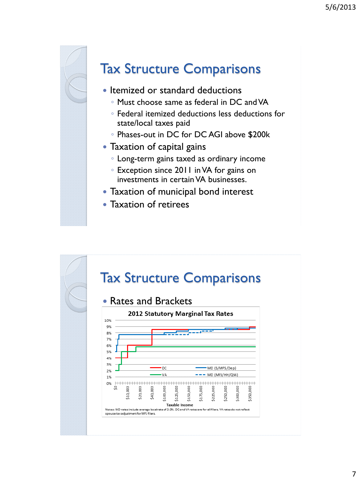

### Tax Structure Comparisons

- Itemized or standard deductions
	- Must choose same as federal in DC and VA
	- Federal itemized deductions less deductions for state/local taxes paid
	- Phases-out in DC for DC AGI above \$200k
- Taxation of capital gains
	- Long-term gains taxed as ordinary income
	- Exception since 2011 in VA for gains on investments in certain VA businesses.
- Taxation of municipal bond interest
- Taxation of retirees

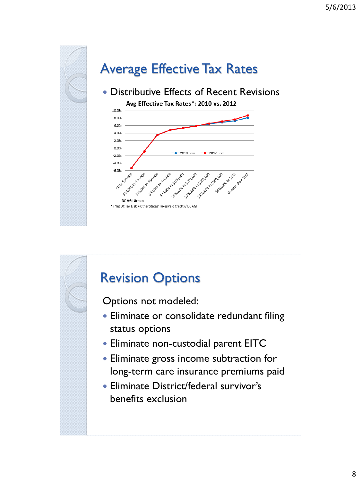![](_page_7_Figure_1.jpeg)

![](_page_7_Figure_2.jpeg)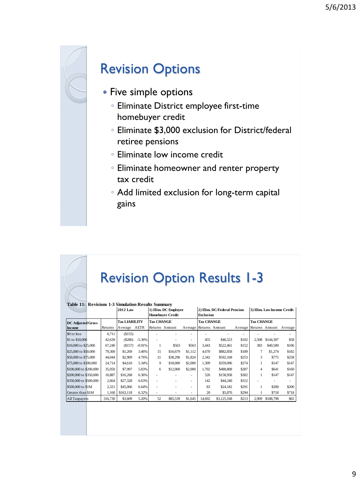![](_page_8_Picture_1.jpeg)

#### Revision Options

- Five simple options
	- Eliminate District employee first-time homebuyer credit
	- Eliminate \$3,000 exclusion for District/federal retiree pensions
	- Eliminate low income credit
	- Eliminate homeowner and renter property tax credit
	- Add limited exclusion for long-term capital gains

### Revision Option Results 1-3

| <b>Table 11: Revisions 1-3 Simulation Results Summary</b> |                      |           |          |                                                 |                |                   |                                                 |                        |                   |                            |           |                                |
|-----------------------------------------------------------|----------------------|-----------|----------|-------------------------------------------------|----------------|-------------------|-------------------------------------------------|------------------------|-------------------|----------------------------|-----------|--------------------------------|
| <b>2012 Law</b>                                           |                      |           |          | 1) Elim. DC Employee<br><b>Homebuyer Credit</b> |                |                   | 2) Elim. DC/Federal Pension<br><b>Exclusion</b> |                        |                   | 3) Elim. Low Income Credit |           |                                |
| <b>DC Adjusted Gross</b>                                  | <b>Tax LIABILITY</b> |           |          | Tax CHANGE                                      |                | <b>Tax CHANGE</b> |                                                 |                        | <b>Tax CHANGE</b> |                            |           |                                |
| <b>Income</b>                                             | Returns              | Average   | AETR     |                                                 | Returns Amount |                   |                                                 | Average Returns Amount |                   |                            |           | Average Returns Amount Average |
| \$0 or less                                               | 6.711                | (S155)    |          |                                                 |                |                   |                                                 |                        |                   |                            |           |                                |
| \$1 to \$10,000                                           | 42,639               | (S286)    | $-5.36%$ |                                                 |                | ٠                 | 455                                             | \$46,523               | \$102             | 2,508                      | \$144,307 | \$58                           |
| \$10,000 to \$25,000                                      | 67,240               | (S157)    | $-0.91%$ |                                                 | \$563          | \$563             | 3.443                                           | \$522,461              | \$152             | 383                        | \$40,589  | \$106                          |
| \$25,000 to \$50,000                                      | 79,300               | \$1,269   | 3.46%    | 15                                              | \$16,679       | \$1,112           | 4.670                                           | \$882,858              | \$189             |                            | \$1,274   | \$182                          |
| \$50,000 to \$75,000                                      | 44,044               | \$2,909   | 4.76%    | 21                                              | \$38,296       | \$1,824           | 2,342                                           | \$592,168              | \$253             | 3                          | \$775     | \$258                          |
| \$75,000 to \$100,000                                     | 24,714               | \$4,610   | 5.34%    | 9                                               | \$18,000       | \$2,000           | 1,309                                           | \$359,096              | \$274             |                            | \$147     | \$147                          |
| \$100,000 to \$200,000                                    | 35,050               | \$7,997   | 5.83%    | 6                                               | \$12,000       | \$2,000           | 1.702                                           | \$488,808              | \$287             | $\overline{4}$             | \$641     | \$160                          |
| \$200,000 to \$350,000                                    | 10,887               | \$16,268  | 6.36%    |                                                 |                | ٠                 | 526                                             | \$158,958              | \$302             |                            | \$147     | \$147                          |
| \$350,000 to \$500,000                                    | 2,664                | \$27,328  | 6.63%    |                                                 |                |                   | 142                                             | \$44,240               | \$312             |                            |           |                                |
| \$500,000 to \$1M                                         | 2,321                | \$45,066  | 6.64%    |                                                 |                | ٠                 | 83                                              | \$24,182               | \$291             |                            | \$200     | \$200                          |
| Greater than \$1M                                         | 1,160                | \$163,118 | 6.32%    |                                                 |                | ٠                 | 20                                              | \$5,876                | \$294             |                            | \$718     | \$718                          |
| <b>All Taxpayers</b>                                      | 316,730              | \$3,609   | 5.20%    | 52                                              | \$85,539       | \$1,645           | 14,692                                          | \$3,125,168            | \$213             | 2,909                      | \$188,798 | \$65                           |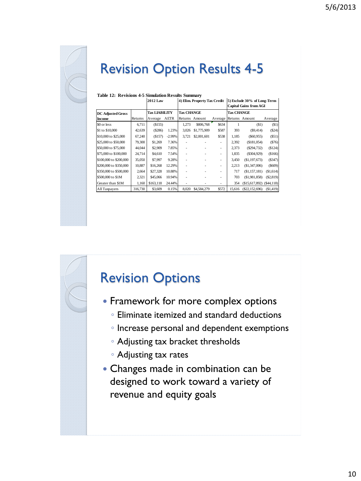![](_page_9_Picture_1.jpeg)

## Revision Option Results 4-5

| Table 12: Revisions 4-5 Simulation Results Summary |                 |                      |             |                              |                |                                                              |                   |                |            |
|----------------------------------------------------|-----------------|----------------------|-------------|------------------------------|----------------|--------------------------------------------------------------|-------------------|----------------|------------|
|                                                    | <b>2012 Law</b> |                      |             | 4) Elim. Property Tax Credit |                | 5) Exclude 30% of Long-Term<br><b>Capital Gains from AGI</b> |                   |                |            |
| DC Adjusted Gross                                  |                 | <b>Tax LIABILITY</b> |             | <b>Tax CHANGE</b>            |                |                                                              | <b>Tax CHANGE</b> |                |            |
| Income                                             | Returns         | Average              | <b>AETR</b> |                              | Returns Amount | Average Returns Amount                                       |                   |                | Average    |
| \$0 or less                                        | 6,711           | (S155)               |             | 1,273                        | \$806,768      | \$634                                                        |                   | (S1)           | (S1)       |
| \$1 to \$10,000                                    | 42,639          | (S286)               | 1.23%       | 3,026                        | \$1,775,909    | \$587                                                        | 393               | (S9, 414)      | (S24)      |
| \$10,000 to \$25,000                               | 67,240          | (S157)               | $-2.99%$    | 3,721                        | \$2,001,601    | \$538                                                        | 1.185             | (S60, 955)     | (S51)      |
| \$25,000 to \$50,000                               | 79,300          | \$1,269              | 7.36%       |                              |                | ٠                                                            | 2,392             | (\$181,054)    | (576)      |
| \$50,000 to \$75,000                               | 44,044          | \$2,909              | 7.85%       |                              |                | ٠                                                            | 2,373             | (S294,732)     | (S124)     |
| \$75,000 to \$100,000                              | 24,714          | \$4,610              | 7.54%       |                              |                | ٠                                                            | 1.835             | (S304, 929)    | \$166      |
| \$100,000 to \$200,000                             | 35,050          | \$7,997              | 9.28%       |                              |                | ٠                                                            | 3,450             | (\$1,197,673)  | (S347)     |
| \$200,000 to \$350,000                             | 10,887          | \$16,268             | 12.29%      |                              |                | ٠                                                            | 2,213             | (\$1,347,006)  | (S609)     |
| \$350,000 to \$500,000                             | 2,664           | \$27,328             | 10.88%      |                              |                | ۰                                                            | 717               | (\$1,157,181)  | (S1,614)   |
| \$500,000 to \$1M                                  | 2,321           | \$45,066             | 10.94%      |                              |                | ٠                                                            | 703               | (\$1,981,858)  | (S2, 819)  |
| Greater than \$1M                                  | 1,160           | \$163,118            | 24.44%      | ٠                            |                |                                                              | 354               | (\$15,617,892) | (S44, 118) |
| All Taxpayers                                      | 316,730         | \$3,609              | 0.15%       | 8.020                        | \$4,584,279    | \$572                                                        | 15.616            | (\$22,152,696) | (S1, 419)  |

#### **Table 12: Revisions 4-5 Simulation Results Summary**

#### Revision Options

- Framework for more complex options
	- Eliminate itemized and standard deductions
	- Increase personal and dependent exemptions
	- Adjusting tax bracket thresholds
	- Adjusting tax rates
- Changes made in combination can be designed to work toward a variety of revenue and equity goals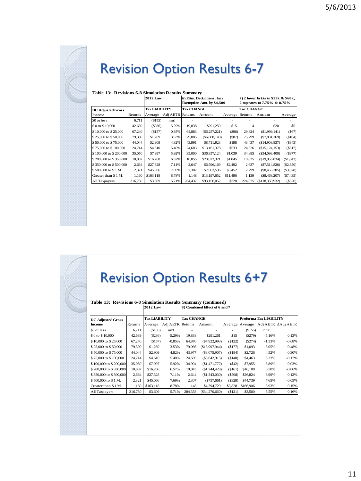![](_page_10_Picture_1.jpeg)

## Revision Option Results 6-7

| Table 13: Revisions 6-8 Simulation Results Summary |         |                      |                  |                   |                                                                |                 |                                                                    |                  |           |  |
|----------------------------------------------------|---------|----------------------|------------------|-------------------|----------------------------------------------------------------|-----------------|--------------------------------------------------------------------|------------------|-----------|--|
|                                                    |         | <b>2012 Law</b>      |                  |                   | 6) Elim. Deductions, Incr.<br><b>Exemption Amt. by \$4,500</b> |                 | 7) 2 lower brkts to \$15k & \$60k,<br>2 top rates to 7.75% & 8.75% |                  |           |  |
| <b>DC Adjusted Gross</b>                           |         | <b>Tax LIABILITY</b> |                  | <b>Tax CHANGE</b> |                                                                |                 | <b>Tax CHANGE</b>                                                  |                  |           |  |
| Income                                             | Returns | Average              | Adj AETR Returns |                   | Amount                                                         | Average Returns |                                                                    | Amount           | Average   |  |
| \$0 or less                                        | 6,711   | (S155)               | nmf              |                   |                                                                | ٠               |                                                                    |                  |           |  |
| \$0 to \$10,000                                    | 42,639  | (S286)               | $-5.29%$         | 19,838            | \$291,259                                                      | \$15            | 4                                                                  | \$20             | \$5       |  |
| \$10,000 to \$25,000                               | 67,240  | (S157)               | $-0.85%$         | 64,883            | $(\$6,257,221)$                                                | $($ \$96)       | 29,824                                                             | (\$1,999,141)    | (S67)     |  |
| \$25,000 to \$50,000                               | 79,300  | \$1,269              | 3.53%            | 79,085            | $(\$6,888,149)$                                                | (S87)           | 75,299                                                             | (S7, 831, 269)   | (\$104)   |  |
| \$50,000 to \$75,000                               | 44,044  | \$2,909              | 4.82%            | 43,991            | \$8,711,923                                                    | \$198           | 43,437                                                             | (\$14,908,837)   | (\$343)   |  |
| \$75,000 to \$100,000                              | 24,714  | \$4,610              | 5.40%            | 24,683            | \$13,161,378                                                   | \$533           | 24,526                                                             | (\$15, 124, 153) | (S617)    |  |
| \$100,000 to \$200,000                             | 35,050  | \$7,997              | 5.92%            | 35,000            | \$36,357,124                                                   | \$1,039         | 34,885                                                             | $(\$34,093,400)$ | (S977)    |  |
| \$200,000 to \$350,000                             | 10.887  | \$16,268             | 6.57%            | 10.855            | \$20,022,321                                                   | \$1,845         | 10.825                                                             | (\$19,955,834)   | (\$1,843) |  |
| \$350,000 to \$500,000                             | 2,664   | \$27,328             | 7.11%            | 2.647             | \$6,596,169                                                    | \$2,492         | 2,637                                                              | (S7,514,826)     | (\$2,850) |  |
| \$500,000 to \$1 M.                                | 2,321   | \$45,066             | 7.69%            | 2,307             | \$7,963,596                                                    | \$3,452         | 2,299                                                              | (S8, 455, 285)   | (\$3,678) |  |
| Greater than \$1 M.                                | 1.160   | \$163,118            | 8.78%            | 1.148             | \$13,197,652                                                   | \$11,496        | 1,139                                                              | (\$8,468,207)    | (S7, 435) |  |
| All Taxpayers                                      | 316,730 | \$3,609              | 5.71%            | 284.437           | \$93,156,052                                                   | \$328           | 224,875                                                            | (\$118,350,932)  | (\$526)   |  |

#### **Table 13: Revisions 6-8 Simulation Results Summary**

### Revision Option Results 6+7

#### **Table 13: Revisions 6-8 Simulation Results Summary (continued) 8) Combined Effect of 6 and 7 2012 Law**

| <b>DC Adjusted Gross</b> |         | <b>Tax LIABILITY</b> |                  | <b>Tax CHANGE</b> |                 |                 | Proforma Tax LIABILITY |          |                    |  |
|--------------------------|---------|----------------------|------------------|-------------------|-----------------|-----------------|------------------------|----------|--------------------|--|
| Income                   | Returns | Average              | Adj AETR Returns |                   | Amount          | Average Average |                        |          | Adj AETR AAdj AETR |  |
| \$0 or less              | 6.711   | (S155)               | nmf              |                   |                 |                 | (S155)                 | nmf      |                    |  |
| \$0 to \$10,000          | 42,639  | (S286)               | $-5.29%$         | 19.838            | \$291.261       | \$15            | (S279)                 | $-5.16%$ | 0.13%              |  |
| \$10,000 to \$25,000     | 67,240  | (S157)               | $-0.85%$         | 64.870            | (S7, 922, 993)  | (\$122)         | (S274)                 | $-1.53%$ | $-0.68%$           |  |
| \$25,000 to \$50,000     | 79,300  | \$1,269              | 3.53%            | 79,066            | (S13.997.944)   | (S177)          | \$1,093                | 3.05%    | $-0.48%$           |  |
| \$50,000 to \$75,000     | 44.044  | \$2,909              | 4.82%            | 43.977            | $(\$8,075,907)$ | (\$184)         | \$2,726                | 4.52%    | $-0.30%$           |  |
| \$75,000 to \$100,000    | 24,714  | \$4,610              | 5.40%            | 24.669            | $(\$3,642,915)$ | (S148)          | \$4,463                | 5.23%    | $-0.17%$           |  |
| \$100,000 to \$200,000   | 35,050  | \$7,997              | 5.92%            | 34,994            | (S1.471.772)    | (S42)           | \$7,955                | 5.89%    | $-0.03%$           |  |
| \$200,000 to \$350,000   | 10,887  | \$16,268             | 6.57%            | 10,845            | (S1,744,429)    | (\$161)         | \$16,108               | 6.50%    | $-0.06%$           |  |
| \$350,000 to \$500,000   | 2.664   | \$27,328             | 7.11%            | 2.644             | (\$1,343,030)   | (S508)          | \$26,824               | 6.99%    | $-0.12%$           |  |
| \$500,000 to \$1 M.      | 2,321   | \$45,066             | 7.69%            | 2,307             | (S757, 661)     | (S328)          | \$44,739               | 7.65%    | $-0.05%$           |  |
| Greater than \$1 M.      | 1.160   | \$163,118            | 8.78%            | 1.148             | \$4,394,729     | \$3,828         | \$166,906              | 8.93%    | 0.15%              |  |
| All Taxpayers            | 316,730 | \$3,609              | 5.71%            | 284.358           | (S34.270.660)   | (\$121)         | \$3,500                | 5.55%    | $-0.16%$           |  |

 $\overline{\phantom{a}}$